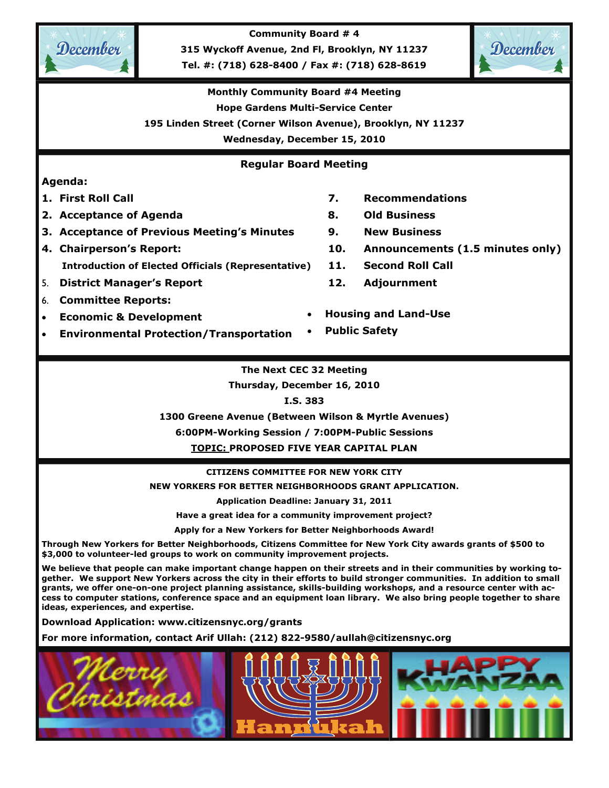

**Community Board # 4** 

**315 Wyckoff Avenue, 2nd Fl, Brooklyn, NY 11237** 

**Tel. #: (718) 628-8400 / Fax #: (718) 628-8619** 



### **Monthly Community Board #4 Meeting**

**Hope Gardens Multi-Service Center** 

**195 Linden Street (Corner Wilson Avenue), Brooklyn, NY 11237** 

**Wednesday, December 15, 2010** 

#### **Regular Board Meeting**

#### **Agenda:**

- 
- **2. Acceptance of Agenda 8. Old Business**
- **3. Acceptance of Previous Meeting's Minutes 9. New Business**
- 
- **Introduction of Elected Officials (Representative) 11. Second Roll Call**
- 5. **District Manager's Report 12. Adjournment**
- 6. **Committee Reports:**
- **Economic & Development**
- **Environmental Protection/Transportation**
- **1. First Roll Call 7. Recommendations** 
	-
	-
- **4. Chairperson's Report: 10. Announcements (1.5 minutes only)** 
	-
	-
	- **Housing and Land-Use**
	- **Public Safety**

#### **The Next CEC 32 Meeting**

**Thursday, December 16, 2010** 

**I.S. 383** 

**1300 Greene Avenue (Between Wilson & Myrtle Avenues)** 

**6:00PM-Working Session / 7:00PM-Public Sessions** 

**TOPIC: PROPOSED FIVE YEAR CAPITAL PLAN** 

#### **CITIZENS COMMITTEE FOR NEW YORK CITY**

**NEW YORKERS FOR BETTER NEIGHBORHOODS GRANT APPLICATION.** 

**Application Deadline: January 31, 2011** 

**Have a great idea for a community improvement project?** 

**Apply for a New Yorkers for Better Neighborhoods Award!** 

**Through New Yorkers for Better Neighborhoods, Citizens Committee for New York City awards grants of \$500 to \$3,000 to volunteer-led groups to work on community improvement projects.** 

**We believe that people can make important change happen on their streets and in their communities by working together. We support New Yorkers across the city in their efforts to build stronger communities. In addition to small grants, we offer one-on-one project planning assistance, skills-building workshops, and a resource center with access to computer stations, conference space and an equipment loan library. We also bring people together to share ideas, experiences, and expertise.** 

**Download Application: www.citizensnyc.org/grants** 

**For more information, contact Arif Ullah: (212) 822-9580/aullah@citizensnyc.org** 

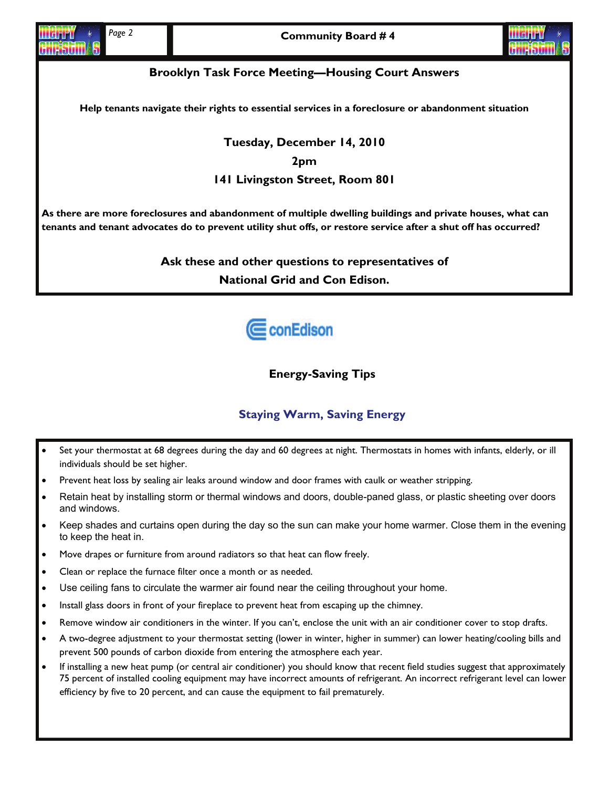

#### **Brooklyn Task Force Meeting—Housing Court Answers**

**Help tenants navigate their rights to essential services in a foreclosure or abandonment situation** 

**Tuesday, December 14, 2010 2pm 141 Livingston Street, Room 801** 

**As there are more foreclosures and abandonment of multiple dwelling buildings and private houses, what can tenants and tenant advocates do to prevent utility shut offs, or restore service after a shut off has occurred?** 

> **Ask these and other questions to representatives of National Grid and Con Edison.**



**Energy-Saving Tips** 

#### **Staying Warm, Saving Energy**

- Set your thermostat at 68 degrees during the day and 60 degrees at night. Thermostats in homes with infants, elderly, or ill individuals should be set higher.
- Prevent heat loss by sealing air leaks around window and door frames with caulk or weather stripping.
- Retain heat by installing storm or thermal windows and doors, double-paned glass, or plastic sheeting over doors and windows.
- Keep shades and curtains open during the day so the sun can make your home warmer. Close them in the evening to keep the heat in.
- Move drapes or furniture from around radiators so that heat can flow freely.
- Clean or replace the furnace filter once a month or as needed.
- Use ceiling fans to circulate the warmer air found near the ceiling throughout your home.
- Install glass doors in front of your fireplace to prevent heat from escaping up the chimney.
- Remove window air conditioners in the winter. If you can't, enclose the unit with an air conditioner cover to stop drafts.
- A two-degree adjustment to your thermostat setting (lower in winter, higher in summer) can lower heating/cooling bills and prevent 500 pounds of carbon dioxide from entering the atmosphere each year.
- If installing a new heat pump (or central air conditioner) you should know that recent field studies suggest that approximately 75 percent of installed cooling equipment may have incorrect amounts of refrigerant. An incorrect refrigerant level can lower efficiency by five to 20 percent, and can cause the equipment to fail prematurely.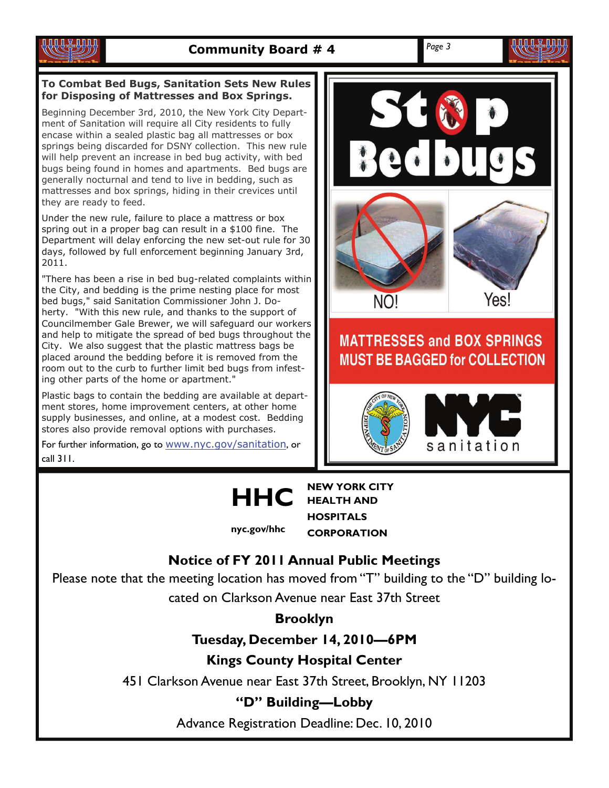

#### **To Combat Bed Bugs, Sanitation Sets New Rules for Disposing of Mattresses and Box Springs.**

Beginning December 3rd, 2010, the New York City Department of Sanitation will require all City residents to fully encase within a sealed plastic bag all mattresses or box springs being discarded for DSNY collection. This new rule will help prevent an increase in bed bug activity, with bed bugs being found in homes and apartments. Bed bugs are generally nocturnal and tend to live in bedding, such as mattresses and box springs, hiding in their crevices until they are ready to feed.

Under the new rule, failure to place a mattress or box spring out in a proper bag can result in a \$100 fine. The Department will delay enforcing the new set-out rule for 30 days, followed by full enforcement beginning January 3rd, 2011.

"There has been a rise in bed bug-related complaints within the City, and bedding is the prime nesting place for most bed bugs," said Sanitation Commissioner John J. Doherty. "With this new rule, and thanks to the support of Councilmember Gale Brewer, we will safeguard our workers and help to mitigate the spread of bed bugs throughout the City. We also suggest that the plastic mattress bags be placed around the bedding before it is removed from the room out to the curb to further limit bed bugs from infesting other parts of the home or apartment."

Plastic bags to contain the bedding are available at department stores, home improvement centers, at other home supply businesses, and online, at a modest cost. Bedding stores also provide removal options with purchases.

For further information, go to [www.nyc.gov/sanitation](http://www.nyc.gov/sanitation), or call 311.



### **MATTRESSES and BOX SPRINGS MUST BE BAGGED for COLLECTION**





**HEALTH AND HOSPITALS CORPORATION nyc.gov/hhc** 

### **Notice of FY 2011 Annual Public Meetings**

Please note that the meeting location has moved from "T" building to the "D" building lo-

cated on Clarkson Avenue near East 37th Street

**Brooklyn** 

**Tuesday, December 14, 2010—6PM** 

**Kings County Hospital Center** 

451 Clarkson Avenue near East 37th Street, Brooklyn, NY 11203

**"D" Building—Lobby** 

Advance Registration Deadline: Dec. 10, 2010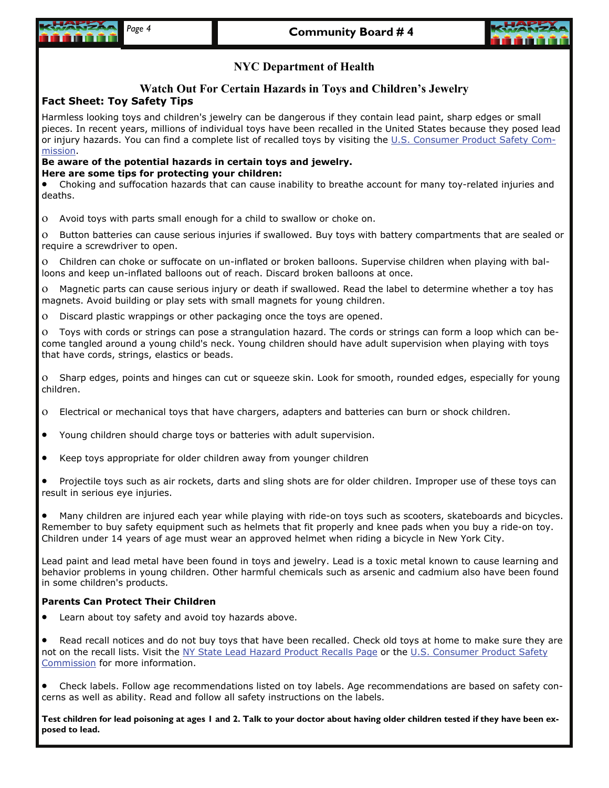



#### **NYC Department of Health**

#### **Watch Out For Certain Hazards in Toys and Children's Jewelry**

#### **Fact Sheet: Toy Safety Tips**

Harmless looking toys and children's jewelry can be dangerous if they contain lead paint, sharp edges or small pieces. In recent years, millions of individual toys have been recalled in the United States because they posed lead or injury hazards. You can find a complete list of recalled toys by visiting the [U.S. Consumer Product Safety Com](http://www.nyc.gov/cgi-bin/exit.pl?url=http://www.cpsc.gov)[mission](http://www.nyc.gov/cgi-bin/exit.pl?url=http://www.cpsc.gov).

#### **Be aware of the potential hazards in certain toys and jewelry. Here are some tips for protecting your children:**

• Choking and suffocation hazards that can cause inability to breathe account for many toy-related injuries and deaths.

ο Avoid toys with parts small enough for a child to swallow or choke on.

ο Button batteries can cause serious injuries if swallowed. Buy toys with battery compartments that are sealed or require a screwdriver to open.

ο Children can choke or suffocate on un-inflated or broken balloons. Supervise children when playing with balloons and keep un-inflated balloons out of reach. Discard broken balloons at once.

ο Magnetic parts can cause serious injury or death if swallowed. Read the label to determine whether a toy has magnets. Avoid building or play sets with small magnets for young children.

ο Discard plastic wrappings or other packaging once the toys are opened.

ο Toys with cords or strings can pose a strangulation hazard. The cords or strings can form a loop which can become tangled around a young child's neck. Young children should have adult supervision when playing with toys that have cords, strings, elastics or beads.

ο Sharp edges, points and hinges can cut or squeeze skin. Look for smooth, rounded edges, especially for young children.

- ο Electrical or mechanical toys that have chargers, adapters and batteries can burn or shock children.
- Young children should charge toys or batteries with adult supervision.
- Keep toys appropriate for older children away from younger children
- Projectile toys such as air rockets, darts and sling shots are for older children. Improper use of these toys can result in serious eye injuries.

• Many children are injured each year while playing with ride-on toys such as scooters, skateboards and bicycles. Remember to buy safety equipment such as helmets that fit properly and knee pads when you buy a ride-on toy. Children under 14 years of age must wear an approved helmet when riding a bicycle in New York City.

Lead paint and lead metal have been found in toys and jewelry. Lead is a toxic metal known to cause learning and behavior problems in young children. Other harmful chemicals such as arsenic and cadmium also have been found in some children's products.

#### **Parents Can Protect Their Children**

Learn about toy safety and avoid toy hazards above.

Read recall notices and do not buy toys that have been recalled. Check old toys at home to make sure they are not on the recall lists. Visit the [NY State Lead Hazard Product Recalls Page](http://www.nyc.gov/cgi-bin/exit.pl?url=http://www.nyhealth.gov/environmental/lead/recalls/) or the U.S. Consumer Product Safety [Commission](http://www.nyc.gov/cgi-bin/exit.pl?url=http://www.cpsc.gov) for more information.

• Check labels. Follow age recommendations listed on toy labels. Age recommendations are based on safety concerns as well as ability. Read and follow all safety instructions on the labels.

**Test children for lead poisoning at ages 1 and 2. Talk to your doctor about having older children tested if they have been exposed to lead.**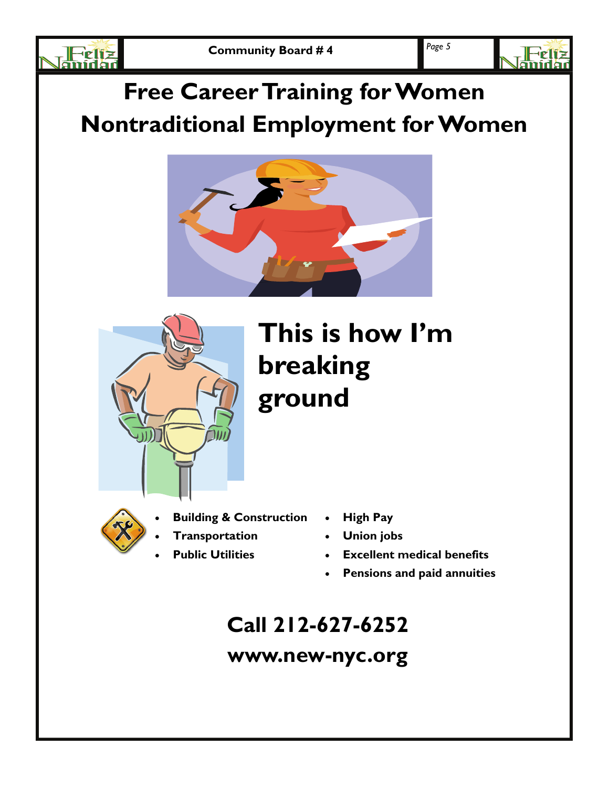



# **Free Career Training for Women Nontraditional Employment for Women**





# **This is how I'm breaking ground**



- **Building & Construction**
- **Transportation**
- **Public Utilities**
- **High Pay**
- **Union jobs**
- **Excellent medical benefits**
- **Pensions and paid annuities**

# **Call 212-627-6252**

# **www.new-nyc.org**